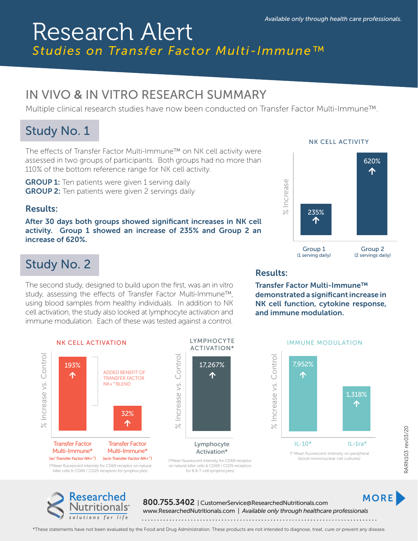# Research Alert *Studies on Transfer Factor Multi-Immune™*

## IN VIVO & IN VITRO RESEARCH SUMMARY

Multiple clinical research studies have now been conducted on Transfer Factor Multi-Immune™.

### Study No. 1

The effects of Transfer Factor Multi-Immune™ on NK cell activity were assessed in two groups of participants. Both groups had no more than 110% of the bottom reference range for NK cell activity.

**GROUP 1:** Ten patients were given 1 serving daily **GROUP 2:** Ten patients were given 2 servings daily

### Results:

After 30 days both groups showed significant increases in NK cell activity. Group 1 showed an increase of 235% and Group 2 an increase of 620%.

## Study No. 2

The second study, designed to build upon the first, was an in vitro study, assessing the effects of Transfer Factor Multi-Immune™, using blood samples from healthy individuals. In addition to NK cell activation, the study also looked at lymphocyte activation and immune modulation. Each of these was tested against a control.

#### NK CELL ACTIVITY



Results:

Transfer Factor Multi-Immune™ demonstrated a significant increase in NK cell function, cytokine response, and immune modulation.



LYMPHOCYTE ACTIVATION\* % Increase vs. Control Control 17,267%  $\blacklozenge$ Increase vs.  $\geqslant$ Lymphocyte

Activation\*



NK CELL ACTIVATION **IMMUNE MODULATION** 



RARN103 rev03/20 RARN103 rev03/20



800.755.3402 | CustomerService@ResearchedNutritionals.com www.ResearchedNutritionals.com | *Available only through healthcare professionals* MORE

\*These statements have not been evaluated by the Food and Drug Administration. These products are not intended to diagnose, treat, cure or prevent any disease.